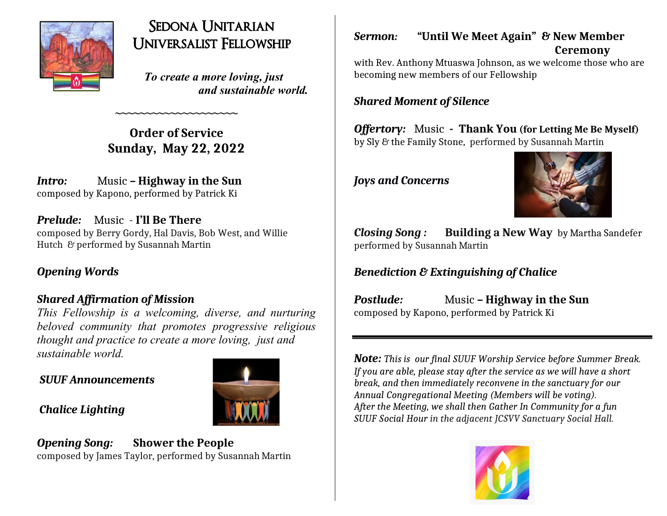

# Sedona Unitarian Universalist Fellowship

 *To create a more loving, just and sustainable world.*

**Order of Service Sunday, May 22, 2022**

**~~~~~~~~~~~~~~~~~~~~**

*Intro:* Music – Highway in the Sun composed by Kapono, performed by Patrick Ki

*Prelude:* Music - **I'll Be There** composed by Berry Gordy, Hal Davis, Bob West, and Willie Hutch & performed by Susannah Martin

# *Opening Words*

# *Shared Affirmation of Mission*

*This Fellowship is a welcoming, diverse, and nurturing beloved community that promotes progressive religious thought and practice to create a more loving, just and sustainable world.*

### *SUUF Announcements*



# *Chalice Lighting*

# *Opening Song:* **Shower the People** composed by James Taylor, performed by Susannah Martin

### *Sermon:* **"Until We Meet Again" & New Member Ceremony**

with Rev. Anthony Mtuaswa Johnson, as we welcome those who are becoming new members of our Fellowship

### *Shared Moment of Silence*

*Offertory:* Music **- Thank You (for Letting Me Be Myself)** by Sly & the Family Stone, performed by Susannah Martin

*Joys and Concerns*



*Closing Song :* **Building a New Way** by Martha Sandefer performed by Susannah Martin

# *Benediction & Extinguishing of Chalice*

*Postlude:* Music **– Highway in the Sun** composed by Kapono, performed by Patrick Ki

*Note: This is our final SUUF Worship Service before Summer Break. If you are able, please stay after the service as we will have a short break, and then immediately reconvene in the sanctuary for our Annual Congregational Meeting (Members will be voting). After the Meeting, we shall then Gather In Community for a fun SUUF Social Hour in the adjacent JCSVV Sanctuary Social Hall.*